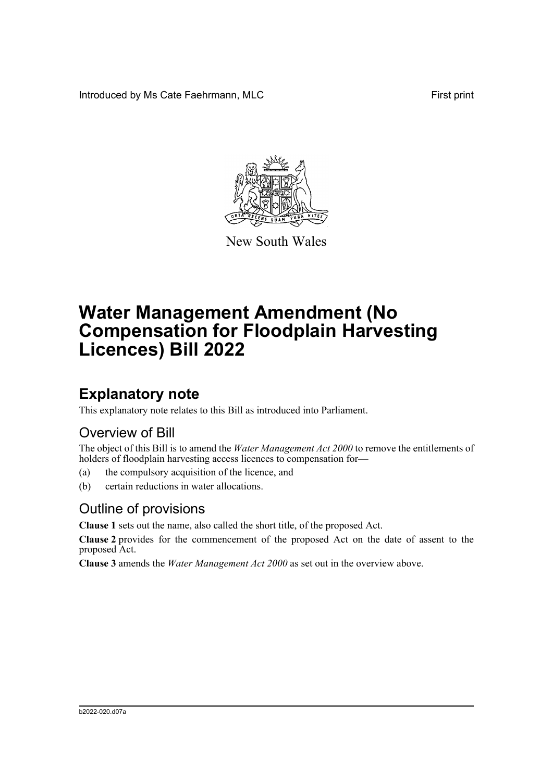Introduced by Ms Cate Faehrmann, MLC First print



New South Wales

# **Water Management Amendment (No Compensation for Floodplain Harvesting Licences) Bill 2022**

### **Explanatory note**

This explanatory note relates to this Bill as introduced into Parliament.

#### Overview of Bill

The object of this Bill is to amend the *Water Management Act 2000* to remove the entitlements of holders of floodplain harvesting access licences to compensation for—

- (a) the compulsory acquisition of the licence, and
- (b) certain reductions in water allocations.

#### Outline of provisions

**Clause 1** sets out the name, also called the short title, of the proposed Act.

**Clause 2** provides for the commencement of the proposed Act on the date of assent to the proposed Act.

**Clause 3** amends the *Water Management Act 2000* as set out in the overview above.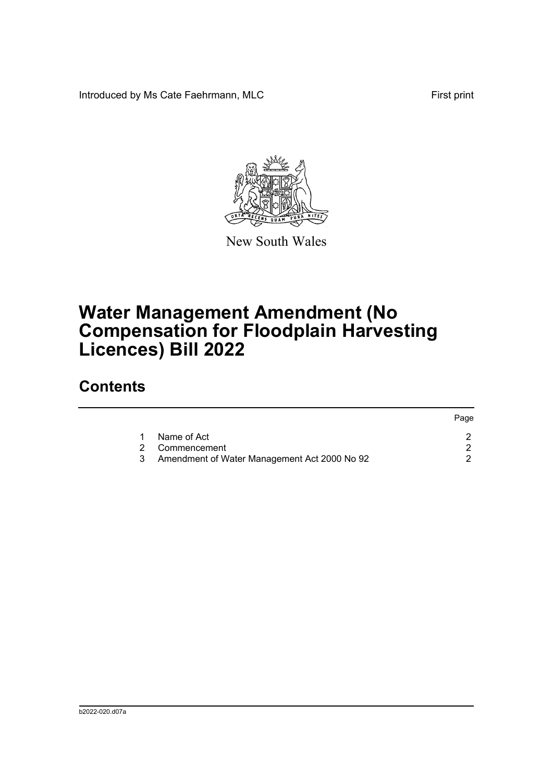Introduced by Ms Cate Faehrmann, MLC First print



New South Wales

## **Water Management Amendment (No Compensation for Floodplain Harvesting Licences) Bill 2022**

#### **Contents**

|   |                                              | Page |
|---|----------------------------------------------|------|
|   | Name of Act                                  |      |
|   | 2 Commencement                               |      |
| 3 | Amendment of Water Management Act 2000 No 92 |      |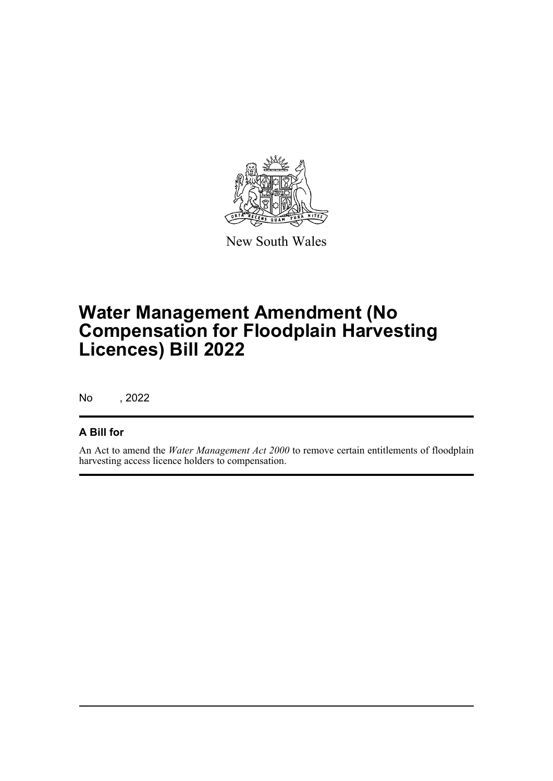

New South Wales

## **Water Management Amendment (No Compensation for Floodplain Harvesting Licences) Bill 2022**

No , 2022

#### **A Bill for**

An Act to amend the *Water Management Act 2000* to remove certain entitlements of floodplain harvesting access licence holders to compensation.